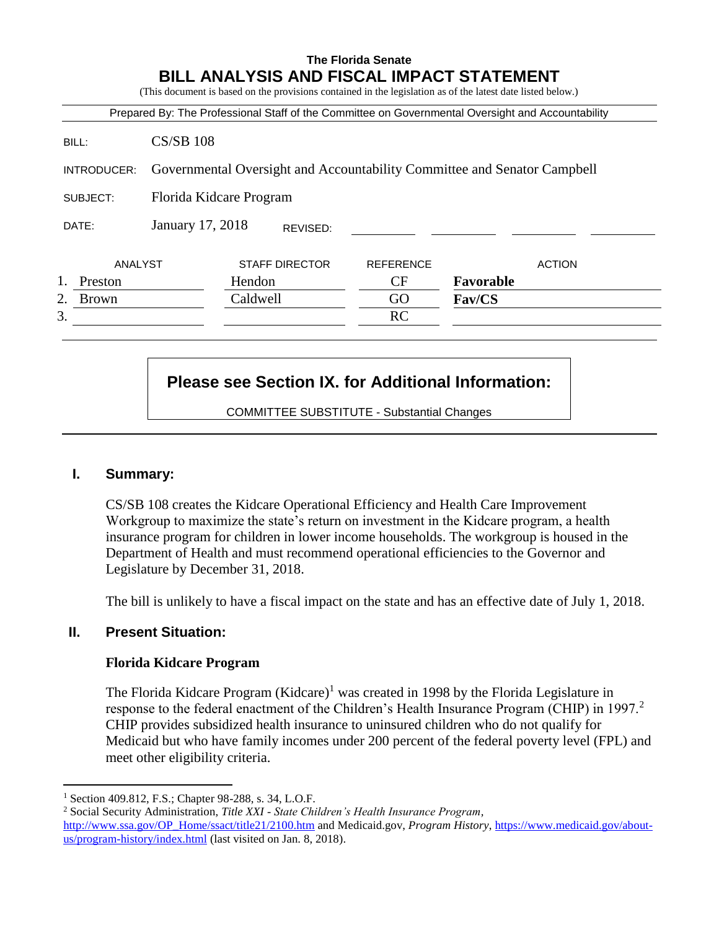# **The Florida Senate BILL ANALYSIS AND FISCAL IMPACT STATEMENT**

(This document is based on the provisions contained in the legislation as of the latest date listed below.)

|                    |                                                                          |                       |          | Prepared By: The Professional Staff of the Committee on Governmental Oversight and Accountability |           |               |
|--------------------|--------------------------------------------------------------------------|-----------------------|----------|---------------------------------------------------------------------------------------------------|-----------|---------------|
| BILL:              | $CS/SB$ 108                                                              |                       |          |                                                                                                   |           |               |
| INTRODUCER:        | Governmental Oversight and Accountability Committee and Senator Campbell |                       |          |                                                                                                   |           |               |
| SUBJECT:           | Florida Kidcare Program                                                  |                       |          |                                                                                                   |           |               |
| DATE:              | January 17, 2018                                                         |                       | REVISED: |                                                                                                   |           |               |
| ANALYST            |                                                                          | <b>STAFF DIRECTOR</b> |          | <b>REFERENCE</b>                                                                                  |           | <b>ACTION</b> |
| Preston            |                                                                          | Hendon                |          | CF                                                                                                | Favorable |               |
| 2.<br><b>Brown</b> |                                                                          | Caldwell              |          | GO                                                                                                | Fav/CS    |               |
| 3.                 |                                                                          |                       |          | RC                                                                                                |           |               |

# **Please see Section IX. for Additional Information:**

COMMITTEE SUBSTITUTE - Substantial Changes

### **I. Summary:**

CS/SB 108 creates the Kidcare Operational Efficiency and Health Care Improvement Workgroup to maximize the state's return on investment in the Kidcare program, a health insurance program for children in lower income households. The workgroup is housed in the Department of Health and must recommend operational efficiencies to the Governor and Legislature by December 31, 2018.

The bill is unlikely to have a fiscal impact on the state and has an effective date of July 1, 2018.

# **II. Present Situation:**

 $\overline{a}$ 

### **Florida Kidcare Program**

The Florida Kidcare Program  $(Kidcare)^{1}$  was created in 1998 by the Florida Legislature in response to the federal enactment of the Children's Health Insurance Program (CHIP) in 1997.<sup>2</sup> CHIP provides subsidized health insurance to uninsured children who do not qualify for Medicaid but who have family incomes under 200 percent of the federal poverty level (FPL) and meet other eligibility criteria.

<sup>1</sup> Section 409.812, F.S.; Chapter 98-288, s. 34, L.O.F.

<sup>2</sup> Social Security Administration, *Title XXI - State Children's Health Insurance Program,*  [http://www.ssa.gov/OP\\_Home/ssact/title21/2100.htm](http://www.ssa.gov/OP_Home/ssact/title21/2100.htm) and Medicaid.gov, *Program History*, [https://www.medicaid.gov/about](https://www.medicaid.gov/about-us/program-history/index.html)[us/program-history/index.html](https://www.medicaid.gov/about-us/program-history/index.html) (last visited on Jan. 8, 2018).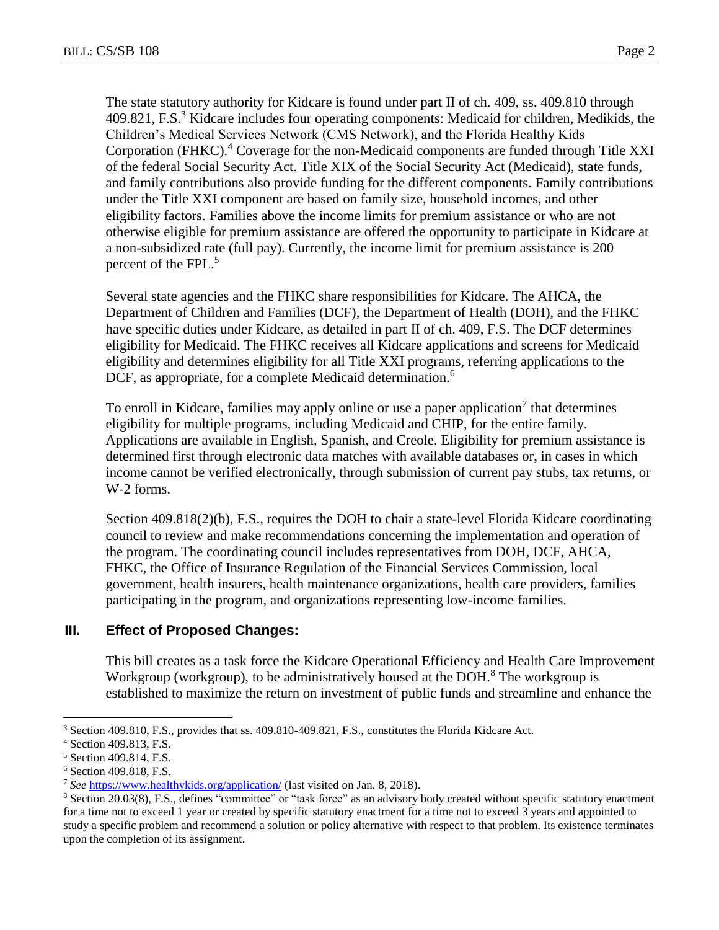The state statutory authority for Kidcare is found under part II of ch. 409, ss. 409.810 through 409.821, F.S.<sup>3</sup> Kidcare includes four operating components: Medicaid for children, Medikids, the Children's Medical Services Network (CMS Network), and the Florida Healthy Kids Corporation (FHKC).<sup>4</sup> Coverage for the non-Medicaid components are funded through Title XXI

of the federal Social Security Act. Title XIX of the Social Security Act (Medicaid), state funds, and family contributions also provide funding for the different components. Family contributions under the Title XXI component are based on family size, household incomes, and other eligibility factors. Families above the income limits for premium assistance or who are not otherwise eligible for premium assistance are offered the opportunity to participate in Kidcare at a non-subsidized rate (full pay). Currently, the income limit for premium assistance is 200 percent of the FPL.<sup>5</sup>

Several state agencies and the FHKC share responsibilities for Kidcare. The AHCA, the Department of Children and Families (DCF), the Department of Health (DOH), and the FHKC have specific duties under Kidcare, as detailed in part II of ch. 409, F.S. The DCF determines eligibility for Medicaid. The FHKC receives all Kidcare applications and screens for Medicaid eligibility and determines eligibility for all Title XXI programs, referring applications to the DCF, as appropriate, for a complete Medicaid determination.<sup>6</sup>

To enroll in Kidcare, families may apply online or use a paper application<sup>7</sup> that determines eligibility for multiple programs, including Medicaid and CHIP, for the entire family. Applications are available in English, Spanish, and Creole. Eligibility for premium assistance is determined first through electronic data matches with available databases or, in cases in which income cannot be verified electronically, through submission of current pay stubs, tax returns, or W-2 forms.

Section 409.818(2)(b), F.S., requires the DOH to chair a state-level Florida Kidcare coordinating council to review and make recommendations concerning the implementation and operation of the program. The coordinating council includes representatives from DOH, DCF, AHCA, FHKC, the Office of Insurance Regulation of the Financial Services Commission, local government, health insurers, health maintenance organizations, health care providers, families participating in the program, and organizations representing low-income families.

# **III. Effect of Proposed Changes:**

This bill creates as a task force the Kidcare Operational Efficiency and Health Care Improvement Workgroup (workgroup), to be administratively housed at the DOH.<sup>8</sup> The workgroup is established to maximize the return on investment of public funds and streamline and enhance the

 $\overline{a}$ <sup>3</sup> Section 409.810, F.S., provides that ss. 409.810-409.821, F.S., constitutes the Florida Kidcare Act.

<sup>4</sup> Section 409.813, F.S.

<sup>5</sup> Section 409.814, F.S.

<sup>6</sup> Section 409.818, F.S.

<sup>7</sup> *See* <https://www.healthykids.org/application/> (last visited on Jan. 8, 2018).

<sup>8</sup> Section 20.03(8), F.S., defines "committee" or "task force" as an advisory body created without specific statutory enactment for a time not to exceed 1 year or created by specific statutory enactment for a time not to exceed 3 years and appointed to study a specific problem and recommend a solution or policy alternative with respect to that problem. Its existence terminates upon the completion of its assignment.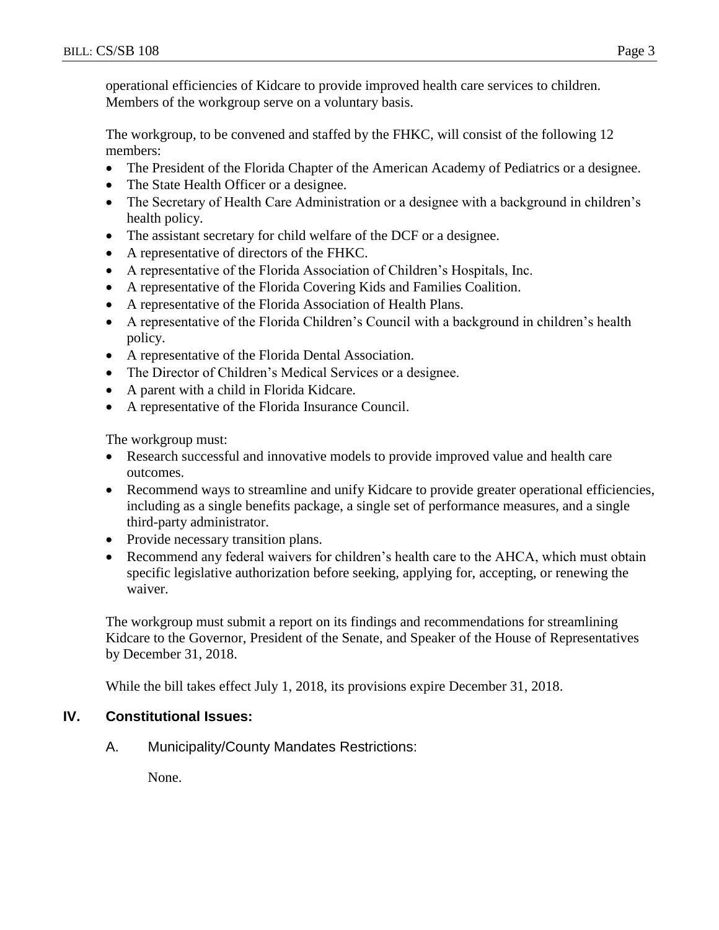operational efficiencies of Kidcare to provide improved health care services to children. Members of the workgroup serve on a voluntary basis.

The workgroup, to be convened and staffed by the FHKC, will consist of the following 12 members:

- The President of the Florida Chapter of the American Academy of Pediatrics or a designee.
- The State Health Officer or a designee.
- The Secretary of Health Care Administration or a designee with a background in children's health policy.
- The assistant secretary for child welfare of the DCF or a designee.
- A representative of directors of the FHKC.
- A representative of the Florida Association of Children's Hospitals, Inc.
- A representative of the Florida Covering Kids and Families Coalition.
- A representative of the Florida Association of Health Plans.
- A representative of the Florida Children's Council with a background in children's health policy.
- A representative of the Florida Dental Association.
- The Director of Children's Medical Services or a designee.
- A parent with a child in Florida Kidcare.
- A representative of the Florida Insurance Council.

The workgroup must:

- Research successful and innovative models to provide improved value and health care outcomes.
- Recommend ways to streamline and unify Kidcare to provide greater operational efficiencies, including as a single benefits package, a single set of performance measures, and a single third-party administrator.
- Provide necessary transition plans.
- Recommend any federal waivers for children's health care to the AHCA, which must obtain specific legislative authorization before seeking, applying for, accepting, or renewing the waiver.

The workgroup must submit a report on its findings and recommendations for streamlining Kidcare to the Governor, President of the Senate, and Speaker of the House of Representatives by December 31, 2018.

While the bill takes effect July 1, 2018, its provisions expire December 31, 2018.

### **IV. Constitutional Issues:**

A. Municipality/County Mandates Restrictions:

None.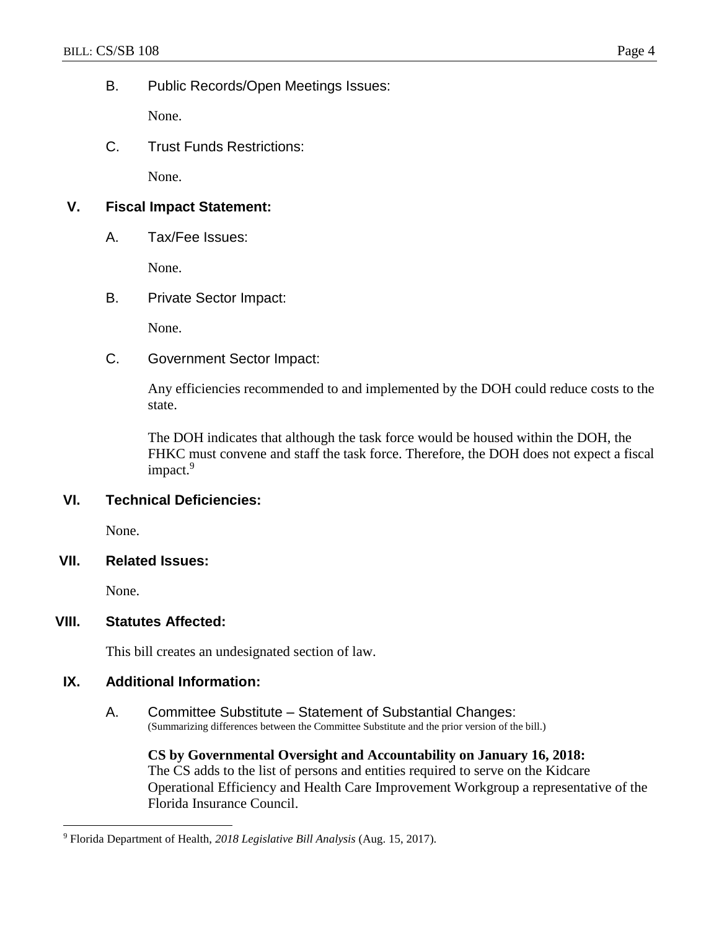### B. Public Records/Open Meetings Issues:

None.

C. Trust Funds Restrictions:

None.

# **V. Fiscal Impact Statement:**

A. Tax/Fee Issues:

None.

# B. Private Sector Impact:

None.

C. Government Sector Impact:

Any efficiencies recommended to and implemented by the DOH could reduce costs to the state.

The DOH indicates that although the task force would be housed within the DOH, the FHKC must convene and staff the task force. Therefore, the DOH does not expect a fiscal impact.<sup>9</sup>

# **VI. Technical Deficiencies:**

None.

### **VII. Related Issues:**

None.

 $\overline{a}$ 

### **VIII. Statutes Affected:**

This bill creates an undesignated section of law.

### **IX. Additional Information:**

A. Committee Substitute – Statement of Substantial Changes: (Summarizing differences between the Committee Substitute and the prior version of the bill.)

**CS by Governmental Oversight and Accountability on January 16, 2018:** The CS adds to the list of persons and entities required to serve on the Kidcare Operational Efficiency and Health Care Improvement Workgroup a representative of the Florida Insurance Council.

<sup>9</sup> Florida Department of Health, *2018 Legislative Bill Analysis* (Aug. 15, 2017).